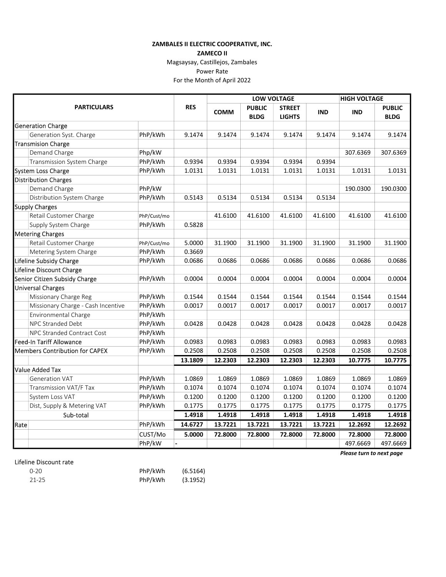## ZAMBALES II ELECTRIC COOPERATIVE, INC.

ZAMECO II

Magsaysay, Castillejos, Zambales

## Power Rate

For the Month of April 2022

|                                       |                                    |             |            | <b>LOW VOLTAGE</b> |               |               |            | <b>HIGH VOLTAGE</b> |               |
|---------------------------------------|------------------------------------|-------------|------------|--------------------|---------------|---------------|------------|---------------------|---------------|
| <b>PARTICULARS</b>                    |                                    |             | <b>RES</b> | <b>COMM</b>        | <b>PUBLIC</b> | <b>STREET</b> | <b>IND</b> | <b>IND</b>          | <b>PUBLIC</b> |
|                                       |                                    | <b>BLDG</b> |            |                    | <b>LIGHTS</b> | <b>BLDG</b>   |            |                     |               |
|                                       | <b>Generation Charge</b>           |             |            |                    |               |               |            |                     |               |
|                                       | Generation Syst. Charge            | PhP/kWh     | 9.1474     | 9.1474             | 9.1474        | 9.1474        | 9.1474     | 9.1474              | 9.1474        |
|                                       | <b>Transmision Charge</b>          |             |            |                    |               |               |            |                     |               |
|                                       | Demand Charge                      | Php/kW      |            |                    |               |               |            | 307.6369            | 307.6369      |
|                                       | Transmission System Charge         | PhP/kWh     | 0.9394     | 0.9394             | 0.9394        | 0.9394        | 0.9394     |                     |               |
|                                       | System Loss Charge                 | PhP/kWh     | 1.0131     | 1.0131             | 1.0131        | 1.0131        | 1.0131     | 1.0131              | 1.0131        |
|                                       | <b>Distribution Charges</b>        |             |            |                    |               |               |            |                     |               |
|                                       | Demand Charge                      | PhP/kW      |            |                    |               |               |            | 190.0300            | 190.0300      |
|                                       | Distribution System Charge         | PhP/kWh     | 0.5143     | 0.5134             | 0.5134        | 0.5134        | 0.5134     |                     |               |
|                                       | <b>Supply Charges</b>              |             |            |                    |               |               |            |                     |               |
|                                       | Retail Customer Charge             | PhP/Cust/mo |            | 41.6100            | 41.6100       | 41.6100       | 41.6100    | 41.6100             | 41.6100       |
|                                       | Supply System Charge               | PhP/kWh     | 0.5828     |                    |               |               |            |                     |               |
|                                       | <b>Metering Charges</b>            |             |            |                    |               |               |            |                     |               |
|                                       | Retail Customer Charge             | PhP/Cust/mo | 5.0000     | 31.1900            | 31.1900       | 31.1900       | 31.1900    | 31.1900             | 31.1900       |
|                                       | Metering System Charge             | PhP/kWh     | 0.3669     |                    |               |               |            |                     |               |
|                                       | Lifeline Subsidy Charge            | PhP/kWh     | 0.0686     | 0.0686             | 0.0686        | 0.0686        | 0.0686     | 0.0686              | 0.0686        |
| Lifeline Discount Charge              |                                    |             |            |                    |               |               |            |                     |               |
|                                       | Senior Citizen Subsidy Charge      | PhP/kWh     | 0.0004     | 0.0004             | 0.0004        | 0.0004        | 0.0004     | 0.0004              | 0.0004        |
|                                       | <b>Universal Charges</b>           |             |            |                    |               |               |            |                     |               |
|                                       | Missionary Charge Reg              | PhP/kWh     | 0.1544     | 0.1544             | 0.1544        | 0.1544        | 0.1544     | 0.1544              | 0.1544        |
|                                       | Missionary Charge - Cash Incentive | PhP/kWh     | 0.0017     | 0.0017             | 0.0017        | 0.0017        | 0.0017     | 0.0017              | 0.0017        |
|                                       | Environmental Charge               | PhP/kWh     |            |                    |               |               |            |                     |               |
|                                       | NPC Stranded Debt                  | PhP/kWh     | 0.0428     | 0.0428             | 0.0428        | 0.0428        | 0.0428     | 0.0428              | 0.0428        |
|                                       | NPC Stranded Contract Cost         | PhP/kWh     |            |                    |               |               |            |                     |               |
| <b>Feed-In Tariff Allowance</b>       |                                    | PhP/kWh     | 0.0983     | 0.0983             | 0.0983        | 0.0983        | 0.0983     | 0.0983              | 0.0983        |
| <b>Members Contribution for CAPEX</b> |                                    | PhP/kWh     | 0.2508     | 0.2508             | 0.2508        | 0.2508        | 0.2508     | 0.2508              | 0.2508        |
|                                       |                                    |             | 13.1809    | 12.2303            | 12.2303       | 12.2303       | 12.2303    | 10.7775             | 10.7775       |
|                                       | <b>Value Added Tax</b>             |             |            |                    |               |               |            |                     |               |
|                                       | <b>Generation VAT</b>              | PhP/kWh     | 1.0869     | 1.0869             | 1.0869        | 1.0869        | 1.0869     | 1.0869              | 1.0869        |
|                                       | Transmission VAT/F Tax             | PhP/kWh     | 0.1074     | 0.1074             | 0.1074        | 0.1074        | 0.1074     | 0.1074              | 0.1074        |
|                                       | System Loss VAT                    | PhP/kWh     | 0.1200     | 0.1200             | 0.1200        | 0.1200        | 0.1200     | 0.1200              | 0.1200        |
|                                       | Dist, Supply & Metering VAT        | PhP/kWh     | 0.1775     | 0.1775             | 0.1775        | 0.1775        | 0.1775     | 0.1775              | 0.1775        |
|                                       | Sub-total                          |             | 1.4918     | 1.4918             | 1.4918        | 1.4918        | 1.4918     | 1.4918              | 1.4918        |
| Rate                                  |                                    | PhP/kWh     | 14.6727    | 13.7221            | 13.7221       | 13.7221       | 13.7221    | 12.2692             | 12.2692       |
|                                       |                                    | CUST/Mo     | 5.0000     | 72.8000            | 72.8000       | 72.8000       | 72.8000    | 72.8000             | 72.8000       |
|                                       |                                    | PhP/kW      |            |                    |               |               |            | 497.6669            | 497.6669      |

## Lifeline Discount rate

| $0 - 20$ | PhP/kWh | (6.5164) |
|----------|---------|----------|
| 21-25    | PhP/kWh | (3.1952) |

Please turn to next page